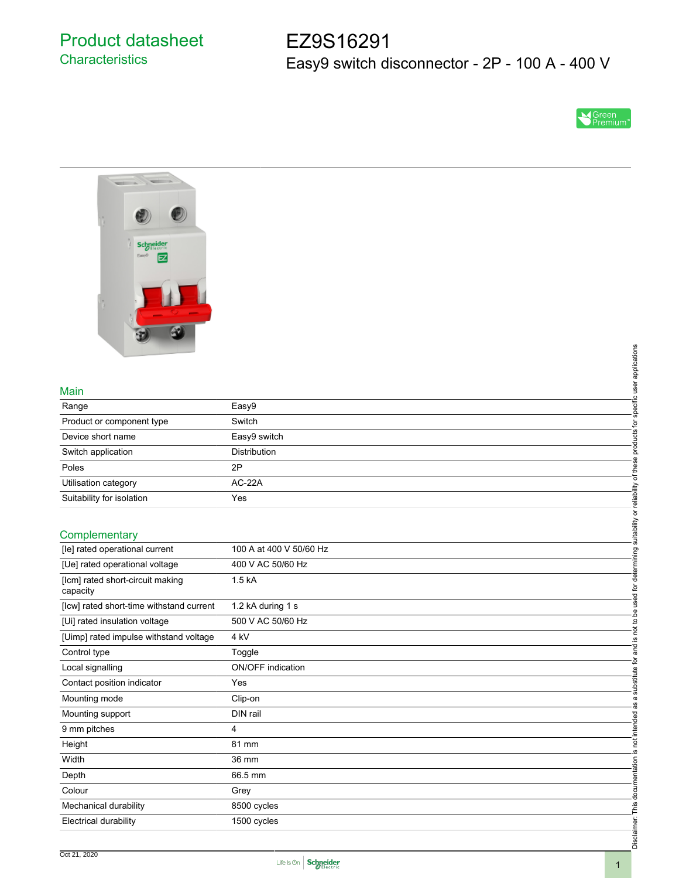Product datasheet **Characteristics** 

EZ9S16291 Easy9 switch disconnector - 2P - 100 A - 400 V





## Main

| $\sim$                    |              |              |
|---------------------------|--------------|--------------|
|                           |              | applications |
|                           |              | မ္တ          |
| Main                      |              |              |
| Range                     | Easy9        | Ğ            |
| Product or component type | Switch       | S            |
| Device short name         | Easy9 switch | ಕ            |
| Switch application        | Distribution |              |
| Poles                     | 2P           |              |
| Utilisation category      | AC-22A       |              |
| Suitability for isolation | Yes          | eliability   |
|                           |              | $\circ$      |
| Complementary             |              | suitability  |
|                           |              |              |

## **Complementary**

|                                          |                          | specific user applications                                            |
|------------------------------------------|--------------------------|-----------------------------------------------------------------------|
| Main                                     |                          |                                                                       |
| Range                                    | Easy9                    |                                                                       |
| Product or component type                | Switch                   |                                                                       |
| Device short name                        | Easy9 switch             | products for                                                          |
| Switch application                       | <b>Distribution</b>      |                                                                       |
| Poles                                    | 2P                       |                                                                       |
| Utilisation category                     | AC-22A                   |                                                                       |
| Suitability for isolation                | Yes                      |                                                                       |
|                                          |                          |                                                                       |
| Complementary                            |                          |                                                                       |
| [le] rated operational current           | 100 A at 400 V 50/60 Hz  |                                                                       |
| [Ue] rated operational voltage           | 400 V AC 50/60 Hz        |                                                                       |
| [lcm] rated short-circuit making         | 1.5 kA                   |                                                                       |
| capacity                                 |                          | is not to be used for determining suitability or reliability of these |
| [Icw] rated short-time withstand current | 1.2 kA during 1 s        |                                                                       |
| [Ui] rated insulation voltage            | 500 V AC 50/60 Hz        |                                                                       |
| [Uimp] rated impulse withstand voltage   | 4 <sub>kV</sub>          |                                                                       |
| Control type                             | Toggle                   | and i                                                                 |
| Local signalling                         | <b>ON/OFF</b> indication | $\frac{1}{2}$                                                         |
| Contact position indicator               | Yes                      | substitute                                                            |
| Mounting mode                            | Clip-on                  | $\varpi$                                                              |
| Mounting support                         | DIN rail                 |                                                                       |
| 9 mm pitches                             | 4                        | not intended as                                                       |
| Height                                   | 81 mm                    |                                                                       |
| Width                                    | 36 mm                    | <u>ِي</u>                                                             |
| Depth                                    | 66.5 mm                  |                                                                       |
| Colour                                   | Grey                     |                                                                       |
| Mechanical durability                    | 8500 cycles              |                                                                       |
| <b>Electrical durability</b>             | 1500 cycles              | Disclaimer: This documentation                                        |
|                                          |                          |                                                                       |
|                                          |                          |                                                                       |